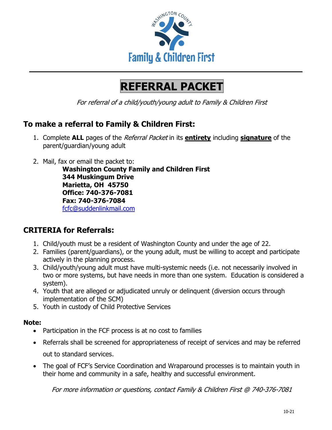

# **REFERRAL PACKET**

For referral of a child/youth/young adult to Family & Children First

### **To make a referral to Family & Children First:**

- 1. Complete **ALL** pages of the Referral Packet in its **entirety** including **signature** of the parent/guardian/young adult
- 2. Mail, fax or email the packet to:

**Washington County Family and Children First 344 Muskingum Drive Marietta, OH 45750 Office: 740-376-7081 Fax: 740-376-7084** [fcfc@suddenlinkmail.com](mailto:fcfc@suddenlinkmail.com)

## **CRITERIA for Referrals:**

- 1. Child/youth must be a resident of Washington County and under the age of 22.
- 2. Families (parent/guardians), or the young adult, must be willing to accept and participate actively in the planning process.
- 3. Child/youth/young adult must have multi-systemic needs (i.e. not necessarily involved in two or more systems, but have needs in more than one system. Education is considered a system).
- 4. Youth that are alleged or adjudicated unruly or delinquent (diversion occurs through implementation of the SCM)
- 5. Youth in custody of Child Protective Services

### **Note:**

- Participation in the FCF process is at no cost to families
- Referrals shall be screened for appropriateness of receipt of services and may be referred out to standard services.
- The goal of FCF's Service Coordination and Wraparound processes is to maintain youth in their home and community in a safe, healthy and successful environment.

For more information or questions, contact Family & Children First @ 740-376-7081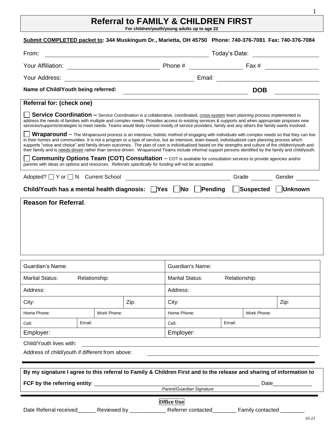## **Referral to FAMILY & CHILDREN FIRST**

**For children/youth/young adults up to age 22**

| Submit COMPLETED packet to: 344 Muskingum Dr., Marietta, OH 45750 Phone: 740-376-7081 Fax: 740-376-7084                                                                                                                                                                                                                                                                                                                                                                                                                                                                                                                 |             |                                                                                       |               |             |                      |
|-------------------------------------------------------------------------------------------------------------------------------------------------------------------------------------------------------------------------------------------------------------------------------------------------------------------------------------------------------------------------------------------------------------------------------------------------------------------------------------------------------------------------------------------------------------------------------------------------------------------------|-------------|---------------------------------------------------------------------------------------|---------------|-------------|----------------------|
| From:                                                                                                                                                                                                                                                                                                                                                                                                                                                                                                                                                                                                                   |             | Today's Date: ______________________<br><u> 2008 - Andrea Andrew Maria (h. 1888).</u> |               |             |                      |
|                                                                                                                                                                                                                                                                                                                                                                                                                                                                                                                                                                                                                         |             |                                                                                       |               |             |                      |
|                                                                                                                                                                                                                                                                                                                                                                                                                                                                                                                                                                                                                         |             |                                                                                       |               |             |                      |
| Name of Child/Youth being referred:                                                                                                                                                                                                                                                                                                                                                                                                                                                                                                                                                                                     |             |                                                                                       |               | <b>DOB</b>  |                      |
| Referral for: (check one)                                                                                                                                                                                                                                                                                                                                                                                                                                                                                                                                                                                               |             |                                                                                       |               |             |                      |
| <b>Service Coordination -</b> Service Coordination is a collaborative, coordinated, cross-system team planning process implemented to<br>address the needs of families with multiple and complex needs. Provides access to existing services & supports and when appropriate proposes new<br>services/supports/strategies to meet needs. Teams would likely consist mostly of service providers, family and any others the family wants involved.                                                                                                                                                                       |             |                                                                                       |               |             |                      |
| Wraparound - The Wraparound process is an intensive, holistic method of engaging with individuals with complex needs so that they can live<br>in their homes and communities. It is not a program or a type of service, but an intensive, team-based, individualized care planning process which<br>supports "voice and choice" and family-driven outcomes. The plan of care is individualized based on the strengths and culture of the children/youth and<br>their family and is needs-driven rather than service-driven. Wraparound Teams include informal support persons identified by the family and child/youth. |             |                                                                                       |               |             |                      |
| <b>Community Options Team (COT) Consultation</b> - COT is available for consultation services to provide agencies and/or<br>parents with ideas on options and resources. Referrals specifically for funding will not be accepted.                                                                                                                                                                                                                                                                                                                                                                                       |             |                                                                                       |               |             |                      |
|                                                                                                                                                                                                                                                                                                                                                                                                                                                                                                                                                                                                                         |             |                                                                                       |               |             |                      |
| Child/Youth has a mental health diagnosis: □Yes □No □Pending □Suspected □Unknown                                                                                                                                                                                                                                                                                                                                                                                                                                                                                                                                        |             |                                                                                       |               |             |                      |
| <b>Reason for Referral.</b>                                                                                                                                                                                                                                                                                                                                                                                                                                                                                                                                                                                             |             |                                                                                       |               |             |                      |
|                                                                                                                                                                                                                                                                                                                                                                                                                                                                                                                                                                                                                         |             |                                                                                       |               |             |                      |
|                                                                                                                                                                                                                                                                                                                                                                                                                                                                                                                                                                                                                         |             |                                                                                       |               |             |                      |
|                                                                                                                                                                                                                                                                                                                                                                                                                                                                                                                                                                                                                         |             |                                                                                       |               |             |                      |
| Guardian's Name:                                                                                                                                                                                                                                                                                                                                                                                                                                                                                                                                                                                                        |             | Guardian's Name:                                                                      |               |             |                      |
| Marital Status: Relationship:                                                                                                                                                                                                                                                                                                                                                                                                                                                                                                                                                                                           |             | <b>Marital Status:</b>                                                                | Relationship: |             |                      |
| Address:                                                                                                                                                                                                                                                                                                                                                                                                                                                                                                                                                                                                                |             | Address:                                                                              |               |             |                      |
| City:                                                                                                                                                                                                                                                                                                                                                                                                                                                                                                                                                                                                                   | Zip:        | City:                                                                                 |               |             | Zip:                 |
| Home Phone:                                                                                                                                                                                                                                                                                                                                                                                                                                                                                                                                                                                                             | Work Phone: | Home Phone:                                                                           |               | Work Phone: |                      |
| Email:<br>Cell:                                                                                                                                                                                                                                                                                                                                                                                                                                                                                                                                                                                                         |             | Cell:                                                                                 | Email:        |             |                      |
| Employer:                                                                                                                                                                                                                                                                                                                                                                                                                                                                                                                                                                                                               |             | Employer:                                                                             |               |             |                      |
| Child/Youth lives with:                                                                                                                                                                                                                                                                                                                                                                                                                                                                                                                                                                                                 |             |                                                                                       |               |             |                      |
| Address of child/youth if different from above:                                                                                                                                                                                                                                                                                                                                                                                                                                                                                                                                                                         |             |                                                                                       |               |             |                      |
|                                                                                                                                                                                                                                                                                                                                                                                                                                                                                                                                                                                                                         |             |                                                                                       |               |             |                      |
| By my signature I agree to this referral to Family & Children First and to the release and sharing of information to                                                                                                                                                                                                                                                                                                                                                                                                                                                                                                    |             |                                                                                       |               |             |                      |
|                                                                                                                                                                                                                                                                                                                                                                                                                                                                                                                                                                                                                         |             |                                                                                       |               |             | Date________________ |
|                                                                                                                                                                                                                                                                                                                                                                                                                                                                                                                                                                                                                         |             | Parent/Guardian Signature<br><b>Office Use</b>                                        |               |             |                      |

1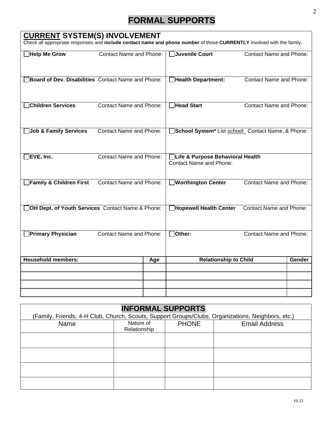# **FORMAL SUPPORTS**

### **CURRENT SYSTEM(S) INVOLVEMENT**

Check all appropriate responses and **include contact name and phone number** of those **CURRENTLY** involved with the family.

| <b>Help Me Grow</b>                                | <b>Contact Name and Phone:</b> |     | <b>Juvenile Court</b>                                              | <b>Contact Name and Phone:</b> |        |
|----------------------------------------------------|--------------------------------|-----|--------------------------------------------------------------------|--------------------------------|--------|
| Board of Dev. Disabilities Contact Name and Phone: |                                |     | <b>Health Department:</b>                                          | <b>Contact Name and Phone:</b> |        |
| Children Services                                  | <b>Contact Name and Phone:</b> |     | <b>Head Start</b>                                                  | <b>Contact Name and Phone:</b> |        |
| <b>Job &amp; Family Services</b>                   | <b>Contact Name and Phone:</b> |     | School System <sup>*</sup> List school: Contact Name, & Phone:     |                                |        |
| EVE, Inc.                                          | <b>Contact Name and Phone:</b> |     | Life & Purpose Behavioral Health<br><b>Contact Name and Phone:</b> |                                |        |
| Family & Children First                            | <b>Contact Name and Phone:</b> |     | <b>Worthington Center</b>                                          | <b>Contact Name and Phone:</b> |        |
|                                                    |                                |     |                                                                    | <b>Contact Name and Phone:</b> |        |
| OH Dept. of Youth Services Contact Name & Phone:   |                                |     | <b>Hopewell Health Center</b>                                      |                                |        |
| <b>Primary Physician</b>                           | <b>Contact Name and Phone:</b> |     | Other:                                                             | <b>Contact Name and Phone:</b> |        |
| <b>Household members:</b>                          |                                | Age | <b>Relationship to Child</b>                                       |                                | Gender |
|                                                    |                                |     |                                                                    |                                |        |
|                                                    |                                |     |                                                                    |                                |        |

### **INFORMAL SUPPORTS**

| (Family, Friends, 4-H Club, Church, Scouts, Support Groups/Clubs, Organizations, Neighbors, etc.) |                           |              |                      |
|---------------------------------------------------------------------------------------------------|---------------------------|--------------|----------------------|
| Name                                                                                              | Nature of<br>Relationship | <b>PHONE</b> | <b>Email Address</b> |
|                                                                                                   |                           |              |                      |
|                                                                                                   |                           |              |                      |
|                                                                                                   |                           |              |                      |
|                                                                                                   |                           |              |                      |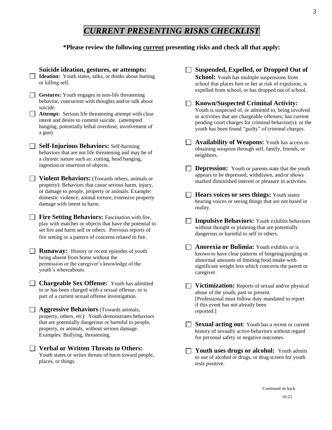# *CURRENT PRESENTING RISKS CHECKLIST*

#### **\*Please review the following current presenting risks and check all that apply:**

|  | Suicide ideation, gestures, or attempts:<br>Ideation: Youth states, talks, or thinks about hurting<br>or killing self.                                                                                                                                                                           | Suspended, Expelled, or Dropped Out of<br><b>School:</b> Youth has multiple suspensions from<br>school that places him or her at risk of expulsion, is<br>expelled from school, or has dropped out of school.                                                                 |
|--|--------------------------------------------------------------------------------------------------------------------------------------------------------------------------------------------------------------------------------------------------------------------------------------------------|-------------------------------------------------------------------------------------------------------------------------------------------------------------------------------------------------------------------------------------------------------------------------------|
|  | Gestures: Youth engages in non-life threatening<br>behavior, concurrent with thoughts and/or talk about<br>suicide.<br>Attempt: Serious life threatening attempt with clear<br>intent and desire to commit suicide. (attempted<br>hanging; potentially lethal overdose; involvement of<br>a gun) | <b>Known/Suspected Criminal Activity:</b><br>Youth is suspected of, or admitted to, being involved<br>in activities that are chargeable offenses; has current<br>pending court charges for criminal behavior(s); or the<br>youth has been found "guilty" of criminal charges. |
|  | <b>Self-Injurious Behaviors: Self-harming</b><br>behaviors that are not life threatening and may be of<br>a chronic nature such as: cutting, head banging,<br>ingestion or insertion of objects.                                                                                                 | <b>Availability of Weapons:</b> Youth has access to<br>obtaining weapons through self, family, friends, or<br>neighbors.                                                                                                                                                      |
|  | <b>Violent Behaviors:</b> (Towards others, animals or<br>property): Behaviors that cause serious harm, injury,<br>or damage to people, property or animals. Example:<br>domestic violence, animal torture, extensive property<br>damage with intent to harm.                                     | <b>Depression:</b> Youth or parents state that the youth<br>appears to be depressed, withdrawn, and/or shows<br>marked diminished interest or pleasure in activities.                                                                                                         |
|  |                                                                                                                                                                                                                                                                                                  | <b>Hears voices or sees things:</b> Youth states<br>hearing voices or seeing things that are not based in<br>reality.                                                                                                                                                         |
|  | <b>Fire Setting Behaviors:</b> Fascination with fire,<br>play with matches or objects that have the potential to<br>set fire and harm self or others. Previous reports of<br>fire setting or a pattern of concerns related to fire.                                                              | <b>Impulsive Behaviors:</b> Youth exhibits behaviors<br>without thought or planning that are potentially<br>dangerous or harmful to self or others.                                                                                                                           |
|  | <b>Runaway:</b> History or recent episodes of youth<br>being absent from home without the<br>permission or the caregiver's knowledge of the<br>youth's whereabouts.                                                                                                                              | Anorexia or Bulimia: Youth exhibits or is<br>known to have clear patterns of bingeing/purging or<br>abnormal amounts of limiting food intake with<br>significant weight loss which concerns the parent or<br>caregiver.                                                       |
|  | <b>Chargeable Sex Offense:</b> Youth has admitted<br>to or has been charged with a sexual offense, or is<br>part of a current sexual offense investigation.                                                                                                                                      | Victimization: Reports of sexual and/or physical<br>abuse of the youth, past or present.<br>[Professional must follow duty mandated to report                                                                                                                                 |
|  | <b>Aggressive Behaviors</b> (Towards animals,<br>property, others, etc): Youth demonstrates behaviors<br>that are potentially dangerous or harmful to people,<br>property, or animals, without serious damage.<br>Examples: Bullying, threatening.                                               | if this event has not already been<br>reported.]                                                                                                                                                                                                                              |
|  |                                                                                                                                                                                                                                                                                                  | Sexual acting out: Youth has a recent or current<br>history of sexually active behaviors without regard<br>for personal safety or negative outcomes.                                                                                                                          |
|  | <b>Verbal or Written Threats to Others:</b><br>Youth states or writes threats of harm toward people,<br>places, or things.                                                                                                                                                                       | <b>Youth uses drugs or alcohol:</b> Youth admits<br>to use of alcohol or drugs, or drug screen for youth<br>tests positive.                                                                                                                                                   |
|  |                                                                                                                                                                                                                                                                                                  |                                                                                                                                                                                                                                                                               |

Continued on back